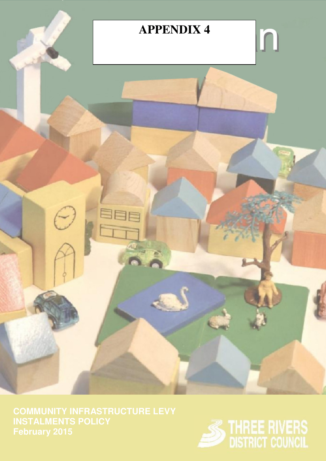

**COMMUNITY INFRASTRUCTURE LEVY INSTALMENTS POLICY**